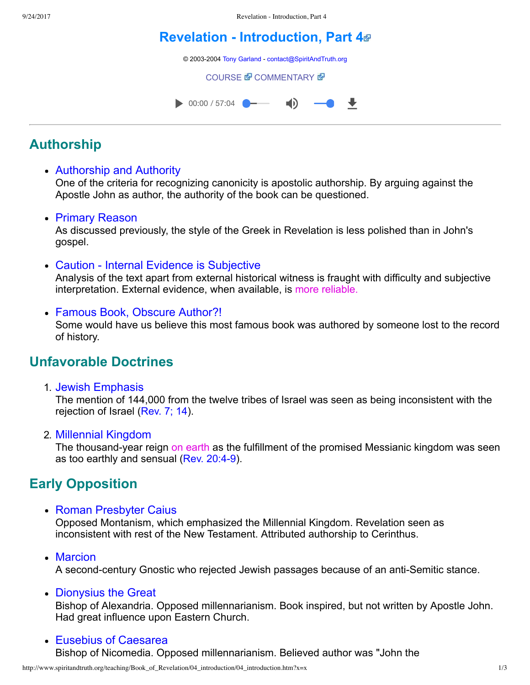# **[Revelation Introduction, Part 4](http://www.spiritandtruth.org/teaching/Book_of_Revelation/04_introduction/index.htm)**

© 2003-2004 [Tony Garland](http://www.spiritandtruth.org/teaching/teachers/tony_garland/bio.htm) - [contact@SpiritAndTruth.org](mailto:contact@SpiritAndTruth.org?subject=ST-MAIL:%20Revelation%20-%20Introduction,%20Part%204)

**[COURSE](http://www.spiritandtruth.org/teaching/Book_of_Revelation/04_introduction/index.htm) & [COMMENTARY](http://www.spiritandtruth.org/teaching/Book_of_Revelation/commentary/htm/index.html?Introduction) &** 



# **Authorship**

#### Authorship and Authority

One of the criteria for recognizing canonicity is apostolic authorship. By arguing against the Apostle John as author, the authority of the book can be questioned.

#### • Primary Reason

As discussed previously, the style of the Greek in Revelation is less polished than in John's gospel.

• Caution - Internal Evidence is Subjective

Analysis of the text apart from external historical witness is fraught with difficulty and subjective interpretation. External evidence, when available, is more reliable.

Famous Book, Obscure Author?! Some would have us believe this most famous book was authored by someone lost to the record of history.

# **Unfavorable Doctrines**

1. Jewish Emphasis

The mention of 144,000 from the twelve tribes of Israel was seen as being inconsistent with the rejection of Israel ([Rev. 7;](http://www.spiritandtruth.org/bibles/nasb/b66c007.htm#Rev._C7V4) [14](http://www.spiritandtruth.org/bibles/nasb/b66c014.htm#Rev._C14V1)).

2. Millennial Kingdom

The thousand-year reign on earth as the fulfillment of the promised Messianic kingdom was seen as too earthly and sensual (Rev. 20:4-9).

# **Early Opposition**

• Roman Presbyter Caius

Opposed Montanism, which emphasized the Millennial Kingdom. Revelation seen as inconsistent with rest of the New Testament. Attributed authorship to Cerinthus.

• Marcion

A second-century Gnostic who rejected Jewish passages because of an anti-Semitic stance.

• Dionysius the Great

Bishop of Alexandria. Opposed millennarianism. Book inspired, but not written by Apostle John. Had great influence upon Eastern Church.

Eusebius of Caesarea Bishop of Nicomedia. Opposed millennarianism. Believed author was "John the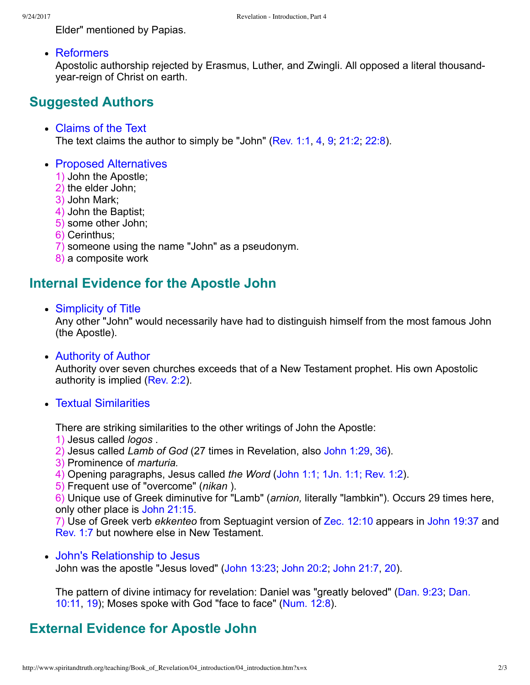Elder" mentioned by Papias.

Reformers

Apostolic authorship rejected by Erasmus, Luther, and Zwingli. All opposed a literal thousandyear-reign of Christ on earth.

### **Suggested Authors**

- Claims of the Text The text claims the author to simply be "John" ([Rev. 1:1,](http://www.spiritandtruth.org/bibles/nasb/b66c001.htm#Rev._C1V1) [4](http://www.spiritandtruth.org/bibles/nasb/b66c001.htm#Rev._C1V4), [9](http://www.spiritandtruth.org/bibles/nasb/b66c001.htm#Rev._C1V9), [21:2](http://www.spiritandtruth.org/bibles/nasb/b66c021.htm#Rev._C21V2), [22:8](http://www.spiritandtruth.org/bibles/nasb/b66c022.htm#Rev._C22V8)).
- Proposed Alternatives
	- 1) John the Apostle;
	- 2) the elder John;
	- 3) John Mark;
	- 4) John the Baptist;
	- 5) some other John;
	- 6) Cerinthus;
	- 7) someone using the name "John" as a pseudonym.
	- 8) a composite work

### **Internal Evidence for the Apostle John**

Simplicity of Title

Any other "John" would necessarily have had to distinguish himself from the most famous John (the Apostle).

Authority of Author

Authority over seven churches exceeds that of a New Testament prophet. His own Apostolic authority is implied ([Rev. 2:2\)](http://www.spiritandtruth.org/bibles/nasb/b66c002.htm#Rev._C2V2).

Textual Similarities

There are striking similarities to the other writings of John the Apostle:

- 1) Jesus called *logos* .
- 2) Jesus called *Lamb of God* (27 times in Revelation, also [John 1:29](http://www.spiritandtruth.org/bibles/nasb/b43c001.htm#John_C1V29), [36](http://www.spiritandtruth.org/bibles/nasb/b43c001.htm#John_C1V36)).
- 3) Prominence of *marturia.*
- 4) Opening paragraphs, Jesus called *the Word* ([John 1:1;](http://www.spiritandtruth.org/bibles/nasb/b43c001.htm#John_C1V1) [1Jn. 1:1;](http://www.spiritandtruth.org/bibles/nasb/b62c001.htm#1Jn._C1V1) [Rev. 1:2\)](http://www.spiritandtruth.org/bibles/nasb/b66c001.htm#Rev._C1V2).
- 5) Frequent use of "overcome" (*nikan* ).

6) Unique use of Greek diminutive for "Lamb" (*arnion,* literally "lambkin"). Occurs 29 times here, only other place is [John 21:15.](http://www.spiritandtruth.org/bibles/nasb/b43c021.htm#John_C21V15)

7) Use of Greek verb *ekkenteo* from Septuagint version of [Zec. 12:10](http://www.spiritandtruth.org/bibles/nasb/b38c012.htm#Zec._C12V10) appears in [John 19:37](http://www.spiritandtruth.org/bibles/nasb/b43c019.htm#John_C19V37) and [Rev. 1:7](http://www.spiritandtruth.org/bibles/nasb/b66c001.htm#Rev._C1V7) but nowhere else in New Testament.

John's Relationship to Jesus John was the apostle "Jesus loved" [\(John 13:23;](http://www.spiritandtruth.org/bibles/nasb/b43c013.htm#John_C13V23) [John 20:2;](http://www.spiritandtruth.org/bibles/nasb/b43c020.htm#John_C20V2) [John 21:7,](http://www.spiritandtruth.org/bibles/nasb/b43c021.htm#John_C21V7) [20\)](http://www.spiritandtruth.org/bibles/nasb/b43c021.htm#John_C21V20).

[The pattern of divine intimacy for revelation: Daniel was "greatly beloved" \(Dan. 9:23; Dan.](http://www.spiritandtruth.org/bibles/nasb/b27c010.htm#Dan._C10V11) 10:11, [19\)](http://www.spiritandtruth.org/bibles/nasb/b27c010.htm#Dan._C10V19); Moses spoke with God "face to face" ([Num. 12:8](http://www.spiritandtruth.org/bibles/nasb/b04c012.htm#Num._C12V8)).

### **External Evidence for Apostle John**